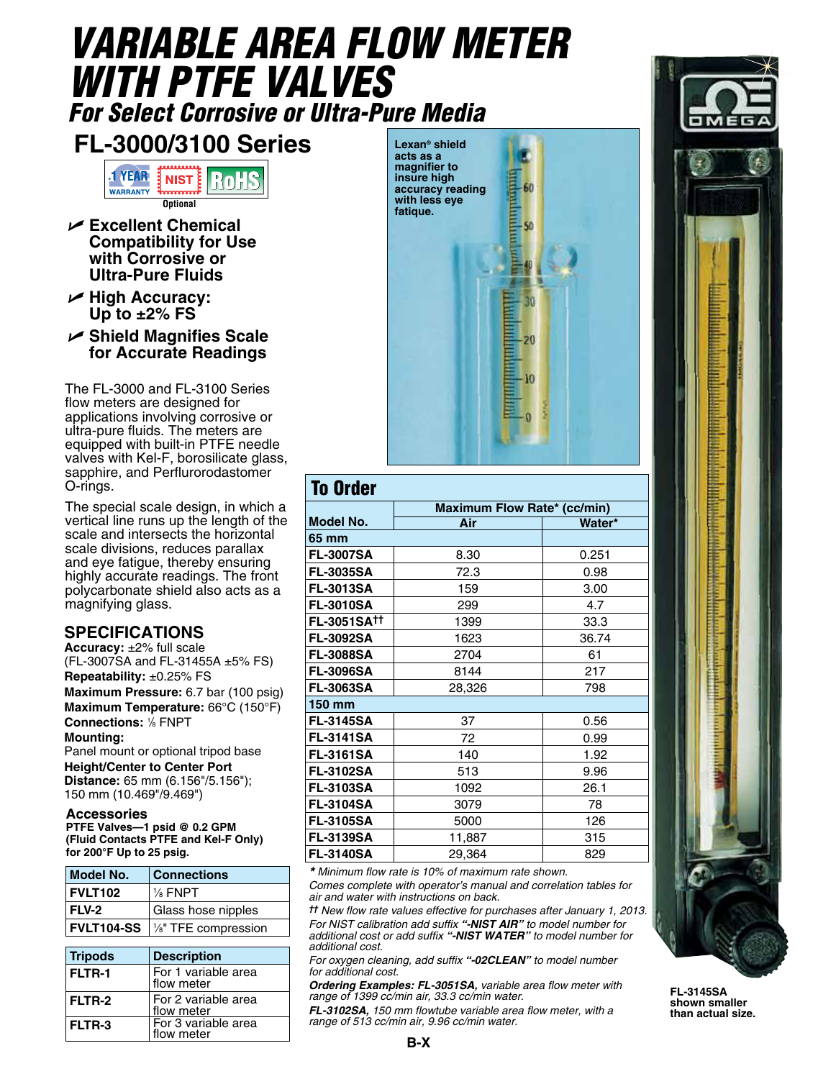## *VARIABLE AREA FLOW METER WITH PTFE VALVES For Select Corrosive or Ultra-Pure Media*

## **FL-3000/3100 Series**



- **Excellent Chemical Compatibility for Use with Corrosive or Ultra-Pure Fluids**
- **High Accuracy: Up to ±2% FS**
- **Shield Magnifies Scale for Accurate Readings**

The FL-3000 and FL-3100 Series flow meters are designed for applications involving corrosive or ultra-pure fluids. The meters are equipped with built-in PTFE needle valves with Kel-F, borosilicate glass, sapphire, and Perflurorodastomer O-rings.

The special scale design, in which a vertical line runs up the length of the scale and intersects the horizontal scale divisions, reduces parallax and eye fatigue, thereby ensuring highly accurate readings. The front polycarbonate shield also acts as a magnifying glass.

## **SPECIFICATIONS**

**Accuracy:** ±2% full scale (FL-3007SA and FL-31455A ±5% FS) **Repeatability:** ±0.25% FS **Maximum Pressure:** 6.7 bar (100 psig) **Maximum Temperature:** 66°C (150°F) **Connections:** <sup>1</sup> */*8 FNPT **Mounting:** 

Panel mount or optional tripod base **Height/Center to Center Port Distance:** 65 mm (6.156"/5.156"); 150 mm (10.469"/9.469")

## **Accessories**

**PTFE Valves—1 psid @ 0.2 GPM (Fluid Contacts PTFE and Kel-F Only) for 200°F Up to 25 psig.**

| Model No.         | <b>Connections</b>   |  |
|-------------------|----------------------|--|
| FVLT102           | $\frac{1}{8}$ FNPT   |  |
| FLV-2             | Glass hose nipples   |  |
| <b>FVLT104-SS</b> | 1/8" TFE compression |  |

| <b>Tripods</b> | <b>Description</b>                |  |
|----------------|-----------------------------------|--|
| <b>FLTR-1</b>  | For 1 variable area<br>flow meter |  |
| <b>FLTR-2</b>  | For 2 variable area<br>flow meter |  |
| <b>FLTR-3</b>  | For 3 variable area<br>flow meter |  |

**Lexan® shield acts as a magnifier to insure high accuracy reading with less eye fatique.**



| <b>To Order</b>    |                                    |        |  |  |
|--------------------|------------------------------------|--------|--|--|
|                    | <b>Maximum Flow Rate* (cc/min)</b> |        |  |  |
| <b>Model No.</b>   | Air                                | Water* |  |  |
| 65 mm              |                                    |        |  |  |
| <b>FL-3007SA</b>   | 8.30                               | 0.251  |  |  |
| <b>FL-3035SA</b>   | 72.3                               | 0.98   |  |  |
| <b>FL-3013SA</b>   | 159                                | 3.00   |  |  |
| <b>FL-3010SA</b>   | 299                                | 4.7    |  |  |
| <b>FL-3051SATT</b> | 1399                               | 33.3   |  |  |
| <b>FL-3092SA</b>   | 1623                               | 36.74  |  |  |
| <b>FL-3088SA</b>   | 2704                               | 61     |  |  |
| <b>FL-3096SA</b>   | 8144                               | 217    |  |  |
| <b>FL-3063SA</b>   | 28,326                             | 798    |  |  |
| 150 mm             |                                    |        |  |  |
| <b>FL-3145SA</b>   | 37                                 | 0.56   |  |  |
| <b>FL-3141SA</b>   | 72                                 | 0.99   |  |  |
| <b>FL-3161SA</b>   | 140                                | 1.92   |  |  |
| <b>FL-3102SA</b>   | 513                                | 9.96   |  |  |
| <b>FL-3103SA</b>   | 1092                               | 26.1   |  |  |
| <b>FL-3104SA</b>   | 3079                               | 78     |  |  |
| <b>FL-3105SA</b>   | 5000                               | 126    |  |  |
| <b>FL-3139SA</b>   | 11,887                             | 315    |  |  |
| <b>FL-3140SA</b>   | 29,364                             | 829    |  |  |

*\* Minimum flow rate is 10% of maximum rate shown.*

*Comes complete with operator's manual and correlation tables for air and water with instructions on back.*

*†† New flow rate values effective for purchases after January 1, 2013. For NIST calibration add suffix "-NIST AIR" to model number for additional cost or add suffix "-NIST WATER" to model number for additional cost.*

*For oxygen cleaning, add suffix "-02CLEAN" to model number for additional cost.*

*Ordering Examples: FL-3051SA, variable area flow meter with range of 1399 cc/min air, 33.3 cc/min water.*

*FL-3102SA, 150 mm flowtube variable area flow meter, with a range of 513 cc/min air, 9.96 cc/min water.*



**FL-3145SA shown smaller than actual size.**